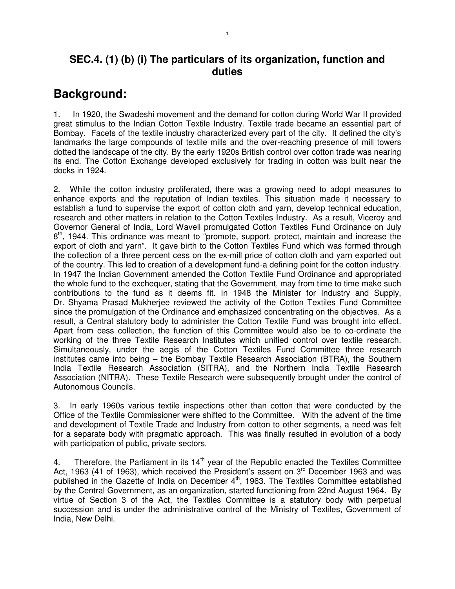#### **SEC.4. (1) (b) (i) The particulars of its organization, function and duties**

## **Background:**

1. In 1920, the Swadeshi movement and the demand for cotton during World War II provided great stimulus to the Indian Cotton Textile Industry. Textile trade became an essential part of Bombay. Facets of the textile industry characterized every part of the city. It defined the city's landmarks the large compounds of textile mills and the over-reaching presence of mill towers dotted the landscape of the city. By the early 1920s British control over cotton trade was nearing its end. The Cotton Exchange developed exclusively for trading in cotton was built near the docks in 1924.

2. While the cotton industry proliferated, there was a growing need to adopt measures to enhance exports and the reputation of Indian textiles. This situation made it necessary to establish a fund to supervise the export of cotton cloth and yarn, develop technical education, research and other matters in relation to the Cotton Textiles Industry. As a result, Viceroy and Governor General of India, Lord Wavell promulgated Cotton Textiles Fund Ordinance on July 8<sup>th</sup>, 1944. This ordinance was meant to "promote, support, protect, maintain and increase the export of cloth and yarn". It gave birth to the Cotton Textiles Fund which was formed through the collection of a three percent cess on the ex-mill price of cotton cloth and yarn exported out of the country. This led to creation of a development fund-a defining point for the cotton industry. In 1947 the Indian Government amended the Cotton Textile Fund Ordinance and appropriated the whole fund to the exchequer, stating that the Government, may from time to time make such contributions to the fund as it deems fit. In 1948 the Minister for Industry and Supply, Dr. Shyama Prasad Mukherjee reviewed the activity of the Cotton Textiles Fund Committee since the promulgation of the Ordinance and emphasized concentrating on the objectives. As a result, a Central statutory body to administer the Cotton Textile Fund was brought into effect. Apart from cess collection, the function of this Committee would also be to co-ordinate the working of the three Textile Research Institutes which unified control over textile research. Simultaneously, under the aegis of the Cotton Textiles Fund Committee three research institutes came into being – the Bombay Textile Research Association (BTRA), the Southern India Textile Research Association (SITRA), and the Northern India Textile Research Association (NITRA). These Textile Research were subsequently brought under the control of Autonomous Councils.

3. In early 1960s various textile inspections other than cotton that were conducted by the Office of the Textile Commissioner were shifted to the Committee. With the advent of the time and development of Textile Trade and Industry from cotton to other segments, a need was felt for a separate body with pragmatic approach. This was finally resulted in evolution of a body with participation of public, private sectors.

4. Therefore, the Parliament in its  $14<sup>th</sup>$  year of the Republic enacted the Textiles Committee Act, 1963 (41 of 1963), which received the President's assent on 3<sup>rd</sup> December 1963 and was published in the Gazette of India on December 4<sup>th</sup>, 1963. The Textiles Committee established by the Central Government, as an organization, started functioning from 22nd August 1964. By virtue of Section 3 of the Act, the Textiles Committee is a statutory body with perpetual succession and is under the administrative control of the Ministry of Textiles, Government of India, New Delhi.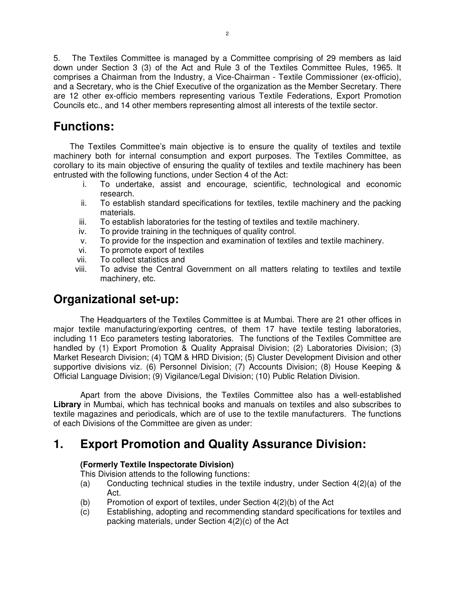5. The Textiles Committee is managed by a Committee comprising of 29 members as laid down under Section 3 (3) of the Act and Rule 3 of the Textiles Committee Rules, 1965. It comprises a Chairman from the Industry, a Vice-Chairman - Textile Commissioner (ex-officio), and a Secretary, who is the Chief Executive of the organization as the Member Secretary. There are 12 other ex-officio members representing various Textile Federations, Export Promotion Councils etc., and 14 other members representing almost all interests of the textile sector.

### **Functions:**

 The Textiles Committee's main objective is to ensure the quality of textiles and textile machinery both for internal consumption and export purposes. The Textiles Committee, as corollary to its main objective of ensuring the quality of textiles and textile machinery has been entrusted with the following functions, under Section 4 of the Act:

- i. To undertake, assist and encourage, scientific, technological and economic research.
- ii. To establish standard specifications for textiles, textile machinery and the packing materials.
- iii. To establish laboratories for the testing of textiles and textile machinery.
- iv. To provide training in the techniques of quality control.
- v. To provide for the inspection and examination of textiles and textile machinery.
- vi. To promote export of textiles
- vii. To collect statistics and
- viii. To advise the Central Government on all matters relating to textiles and textile machinery, etc.

## **Organizational set-up:**

The Headquarters of the Textiles Committee is at Mumbai. There are 21 other offices in major textile manufacturing/exporting centres, of them 17 have textile testing laboratories, including 11 Eco parameters testing laboratories. The functions of the Textiles Committee are handled by (1) Export Promotion & Quality Appraisal Division; (2) Laboratories Division; (3) Market Research Division; (4) TQM & HRD Division; (5) Cluster Development Division and other supportive divisions viz. (6) Personnel Division; (7) Accounts Division; (8) House Keeping & Official Language Division; (9) Vigilance/Legal Division; (10) Public Relation Division.

Apart from the above Divisions, the Textiles Committee also has a well-established **Library** in Mumbai, which has technical books and manuals on textiles and also subscribes to textile magazines and periodicals, which are of use to the textile manufacturers. The functions of each Divisions of the Committee are given as under:

## **1. Export Promotion and Quality Assurance Division:**

#### **(Formerly Textile Inspectorate Division)**

This Division attends to the following functions:

- (a) Conducting technical studies in the textile industry, under Section 4(2)(a) of the Act.
- (b) Promotion of export of textiles, under Section 4(2)(b) of the Act
- (c) Establishing, adopting and recommending standard specifications for textiles and packing materials, under Section 4(2)(c) of the Act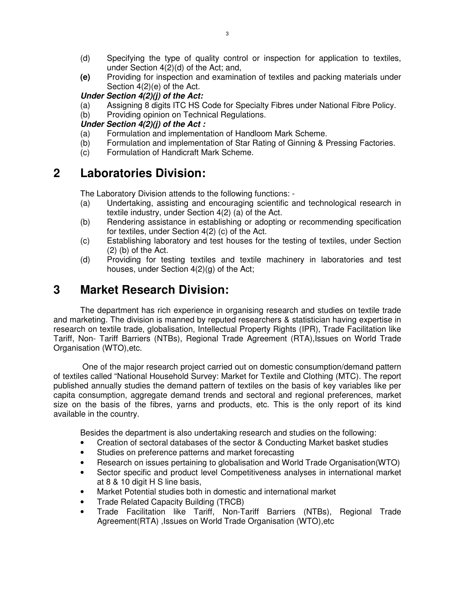- (d) Specifying the type of quality control or inspection for application to textiles, under Section 4(2)(d) of the Act; and,
- **(e)** Providing for inspection and examination of textiles and packing materials under Section 4(2)(e) of the Act.

#### **Under Section 4(2)(j) of the Act:**

- (a) Assigning 8 digits ITC HS Code for Specialty Fibres under National Fibre Policy.
- (b) Providing opinion on Technical Regulations.

#### **Under Section 4(2)(j) of the Act :**

- (a) Formulation and implementation of Handloom Mark Scheme.
- (b) Formulation and implementation of Star Rating of Ginning & Pressing Factories.
- (c) Formulation of Handicraft Mark Scheme.

#### **2 Laboratories Division:**

The Laboratory Division attends to the following functions: -

- (a) Undertaking, assisting and encouraging scientific and technological research in textile industry, under Section 4(2) (a) of the Act.
- (b) Rendering assistance in establishing or adopting or recommending specification for textiles, under Section 4(2) (c) of the Act.
- (c) Establishing laboratory and test houses for the testing of textiles, under Section (2) (b) of the Act.
- (d) Providing for testing textiles and textile machinery in laboratories and test houses, under Section 4(2)(g) of the Act;

#### **3 Market Research Division:**

The department has rich experience in organising research and studies on textile trade and marketing. The division is manned by reputed researchers & statistician having expertise in research on textile trade, globalisation, Intellectual Property Rights (IPR), Trade Facilitation like Tariff, Non- Tariff Barriers (NTBs), Regional Trade Agreement (RTA),Issues on World Trade Organisation (WTO),etc.

 One of the major research project carried out on domestic consumption/demand pattern of textiles called "National Household Survey: Market for Textile and Clothing (MTC). The report published annually studies the demand pattern of textiles on the basis of key variables like per capita consumption, aggregate demand trends and sectoral and regional preferences, market size on the basis of the fibres, yarns and products, etc. This is the only report of its kind available in the country.

Besides the department is also undertaking research and studies on the following:

- Creation of sectoral databases of the sector & Conducting Market basket studies
- Studies on preference patterns and market forecasting
- Research on issues pertaining to globalisation and World Trade Organisation(WTO)
- Sector specific and product level Competitiveness analyses in international market at 8 & 10 digit H S line basis,
- Market Potential studies both in domestic and international market
- Trade Related Capacity Building (TRCB)
- Trade Facilitation like Tariff, Non-Tariff Barriers (NTBs), Regional Trade Agreement(RTA) ,Issues on World Trade Organisation (WTO),etc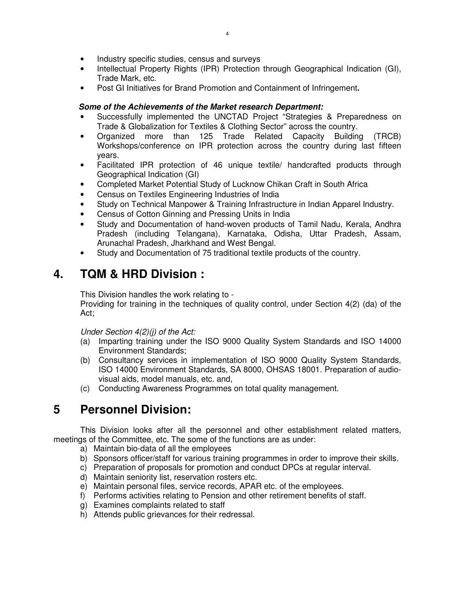- Industry specific studies, census and surveys
- Intellectual Property Rights (IPR) Protection through Geographical Indication (GI), Trade Mark, etc.
- Post GI Initiatives for Brand Promotion and Containment of Infringement**.**

#### **Some of the Achievements of the Market research Department:**

- Successfully implemented the UNCTAD Project "Strategies & Preparedness on Trade & Globalization for Textiles & Clothing Sector" across the country.
- Organized more than 125 Trade Related Capacity Building (TRCB) Workshops/conference on IPR protection across the country during last fifteen years.
- Facilitated IPR protection of 46 unique textile/ handcrafted products through Geographical Indication (GI)
- Completed Market Potential Study of Lucknow Chikan Craft in South Africa
- Census on Textiles Engineering Industries of India
- Study on Technical Manpower & Training Infrastructure in Indian Apparel Industry.
- Census of Cotton Ginning and Pressing Units in India
- Study and Documentation of hand-woven products of Tamil Nadu, Kerala, Andhra Pradesh (including Telangana), Karnataka, Odisha, Uttar Pradesh, Assam, Arunachal Pradesh, Jharkhand and West Bengal.
- Study and Documentation of 75 traditional textile products of the country.

## **4. TQM & HRD Division :**

This Division handles the work relating to -

Providing for training in the techniques of quality control, under Section 4(2) (da) of the Act;

Under Section 4(2)(j) of the Act:

- (a) Imparting training under the ISO 9000 Quality System Standards and ISO 14000 Environment Standards;
- (b) Consultancy services in implementation of ISO 9000 Quality System Standards, ISO 14000 Environment Standards, SA 8000, OHSAS 18001. Preparation of audiovisual aids, model manuals, etc. and,
- (c) Conducting Awareness Programmes on total quality management.

## **5 Personnel Division:**

 This Division looks after all the personnel and other establishment related matters, meetings of the Committee, etc. The some of the functions are as under:

- a) Maintain bio-data of all the employees
- b) Sponsors officer/staff for various training programmes in order to improve their skills.
- c) Preparation of proposals for promotion and conduct DPCs at regular interval.
- d) Maintain seniority list, reservation rosters etc.
- e) Maintain personal files, service records, APAR etc. of the employees.
- f) Performs activities relating to Pension and other retirement benefits of staff.
- g) Examines complaints related to staff
- h) Attends public grievances for their redressal.